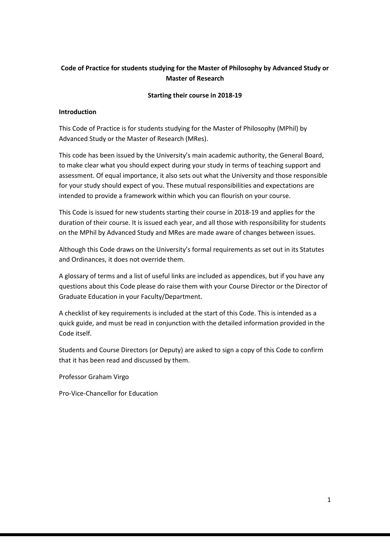### **Code of Practice for students studying for the Master of Philosophy by Advanced Study or Master of Research**

#### **Starting their course in 2018-19**

### **Introduction**

This Code of Practice is for students studying for the Master of Philosophy (MPhil) by Advanced Study or the Master of Research (MRes).

This code has been issued by the University's main academic authority, the General Board, to make clear what you should expect during your study in terms of teaching support and assessment. Of equal importance, it also sets out what the University and those responsible for your study should expect of you. These mutual responsibilities and expectations are intended to provide a framework within which you can flourish on your course.

This Code is issued for new students starting their course in 2018-19 and applies for the duration of their course. It is issued each year, and all those with responsibility for students on the MPhil by Advanced Study and MRes are made aware of changes between issues.

Although this Code draws on the University's formal requirements as set out in its Statutes and Ordinances, it does not override them.

A glossary of terms and a list of useful links are included as appendices, but if you have any questions about this Code please do raise them with your Course Director or the Director of Graduate Education in your Faculty/Department.

A checklist of key requirements is included at the start of this Code. This is intended as a quick guide, and must be read in conjunction with the detailed information provided in the Code itself.

Students and Course Directors (or Deputy) are asked to sign a copy of this Code to confirm that it has been read and discussed by them.

Professor Graham Virgo

Pro-Vice-Chancellor for Education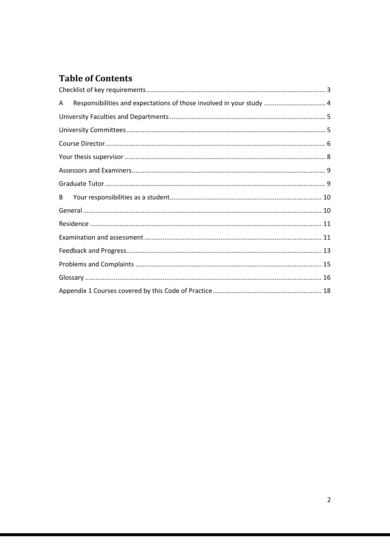# **Table of Contents**

| Responsibilities and expectations of those involved in your study  4<br>A |  |
|---------------------------------------------------------------------------|--|
|                                                                           |  |
|                                                                           |  |
|                                                                           |  |
|                                                                           |  |
|                                                                           |  |
|                                                                           |  |
| B                                                                         |  |
|                                                                           |  |
|                                                                           |  |
|                                                                           |  |
|                                                                           |  |
|                                                                           |  |
|                                                                           |  |
|                                                                           |  |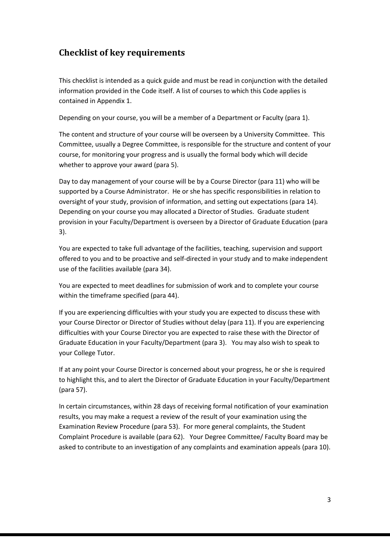# <span id="page-2-0"></span>**Checklist of key requirements**

This checklist is intended as a quick guide and must be read in conjunction with the detailed information provided in the Code itself. A list of courses to which this Code applies is contained in Appendix 1.

Depending on your course, you will be a member of a Department or Faculty (para 1).

The content and structure of your course will be overseen by a University Committee. This Committee, usually a Degree Committee, is responsible for the structure and content of your course, for monitoring your progress and is usually the formal body which will decide whether to approve your award (para 5).

Day to day management of your course will be by a Course Director (para 11) who will be supported by a Course Administrator. He or she has specific responsibilities in relation to oversight of your study, provision of information, and setting out expectations (para 14). Depending on your course you may allocated a Director of Studies. Graduate student provision in your Faculty/Department is overseen by a Director of Graduate Education (para 3).

You are expected to take full advantage of the facilities, teaching, supervision and support offered to you and to be proactive and self-directed in your study and to make independent use of the facilities available (para 34).

You are expected to meet deadlines for submission of work and to complete your course within the timeframe specified (para 44).

If you are experiencing difficulties with your study you are expected to discuss these with your Course Director or Director of Studies without delay (para 11). If you are experiencing difficulties with your Course Director you are expected to raise these with the Director of Graduate Education in your Faculty/Department (para 3). You may also wish to speak to your College Tutor.

If at any point your Course Director is concerned about your progress, he or she is required to highlight this, and to alert the Director of Graduate Education in your Faculty/Department (para 57).

In certain circumstances, within 28 days of receiving formal notification of your examination results, you may make a request a review of the result of your examination using the Examination Review Procedure (para 53). For more general complaints, the Student Complaint Procedure is available (para 62). Your Degree Committee/ Faculty Board may be asked to contribute to an investigation of any complaints and examination appeals (para 10).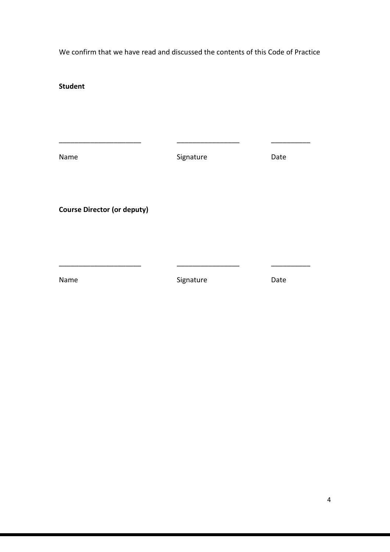<span id="page-3-0"></span>We confirm that we have read and discussed the contents of this Code of Practice

**Student**

Name **Name** Signature **Date** 

\_\_\_\_\_\_\_\_\_\_\_\_\_\_\_\_\_\_\_\_\_ \_\_\_\_\_\_\_\_\_\_\_\_\_\_\_\_ \_\_\_\_\_\_\_\_\_\_

**Course Director (or deputy)**

Name **Name** Signature Date

\_\_\_\_\_\_\_\_\_\_\_\_\_\_\_\_\_\_\_\_\_ \_\_\_\_\_\_\_\_\_\_\_\_\_\_\_\_ \_\_\_\_\_\_\_\_\_\_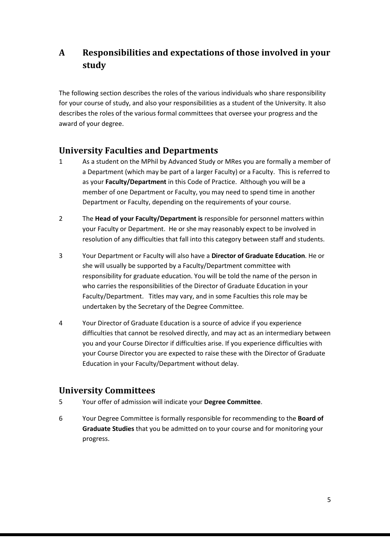# **A Responsibilities and expectations of those involved in your study**

The following section describes the roles of the various individuals who share responsibility for your course of study, and also your responsibilities as a student of the University. It also describes the roles of the various formal committees that oversee your progress and the award of your degree.

# <span id="page-4-0"></span>**University Faculties and Departments**

- 1 As a student on the MPhil by Advanced Study or MRes you are formally a member of a Department (which may be part of a larger Faculty) or a Faculty. This is referred to as your **Faculty/Department** in this Code of Practice. Although you will be a member of one Department or Faculty, you may need to spend time in another Department or Faculty, depending on the requirements of your course.
- 2 The **Head of your Faculty/Department is** responsible for personnel matters within your Faculty or Department. He or she may reasonably expect to be involved in resolution of any difficulties that fall into this category between staff and students.
- 3 Your Department or Faculty will also have a **Director of Graduate Education**. He or she will usually be supported by a Faculty/Department committee with responsibility for graduate education. You will be told the name of the person in who carries the responsibilities of the Director of Graduate Education in your Faculty/Department. Titles may vary, and in some Faculties this role may be undertaken by the Secretary of the Degree Committee.
- 4 Your Director of Graduate Education is a source of advice if you experience difficulties that cannot be resolved directly, and may act as an intermediary between you and your Course Director if difficulties arise. If you experience difficulties with your Course Director you are expected to raise these with the Director of Graduate Education in your Faculty/Department without delay.

# <span id="page-4-1"></span>**University Committees**

- 5 Your offer of admission will indicate your **Degree Committee**.
- 6 Your Degree Committee is formally responsible for recommending to the **Board of Graduate Studies** that you be admitted on to your course and for monitoring your progress.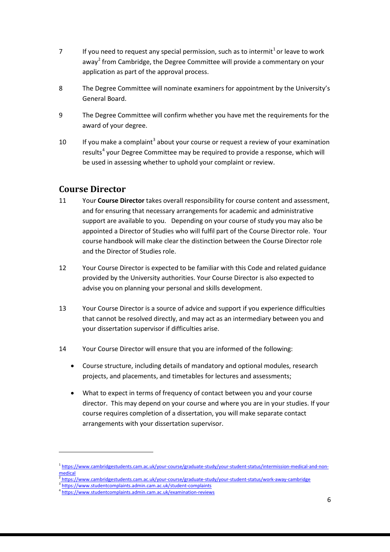- 7 If you need to request any special permission, such as to intermit<sup>[1](#page-5-1)</sup> or leave to work away<sup>[2](#page-5-2)</sup> from Cambridge, the Degree Committee will provide a commentary on your application as part of the approval process.
- 8 The Degree Committee will nominate examiners for appointment by the University's General Board.
- 9 The Degree Committee will confirm whether you have met the requirements for the award of your degree.
- 10 If you make a complaint<sup>[3](#page-5-3)</sup> about your course or request a review of your examination results<sup>[4](#page-5-4)</sup> your Degree Committee may be required to provide a response, which will be used in assessing whether to uphold your complaint or review.

# <span id="page-5-0"></span>**Course Director**

- 11 Your **Course Director** takes overall responsibility for course content and assessment, and for ensuring that necessary arrangements for academic and administrative support are available to you. Depending on your course of study you may also be appointed a Director of Studies who will fulfil part of the Course Director role. Your course handbook will make clear the distinction between the Course Director role and the Director of Studies role.
- 12 Your Course Director is expected to be familiar with this Code and related guidance provided by the University authorities. Your Course Director is also expected to advise you on planning your personal and skills development.
- 13 Your Course Director is a source of advice and support if you experience difficulties that cannot be resolved directly, and may act as an intermediary between you and your dissertation supervisor if difficulties arise.
- 14 Your Course Director will ensure that you are informed of the following:
	- Course structure, including details of mandatory and optional modules, research projects, and placements, and timetables for lectures and assessments;
	- What to expect in terms of frequency of contact between you and your course director. This may depend on your course and where you are in your studies. If your course requires completion of a dissertation, you will make separate contact arrangements with your dissertation supervisor.

<span id="page-5-1"></span><sup>1</sup> [https://www.cambridgestudents.cam.ac.uk/your-course/graduate-study/your-student-status/intermission-medical-and-non](https://www.cambridgestudents.cam.ac.uk/your-course/graduate-study/your-student-status/intermission-medical-and-non-medical)[medical](https://www.cambridgestudents.cam.ac.uk/your-course/graduate-study/your-student-status/intermission-medical-and-non-medical)

<span id="page-5-3"></span><span id="page-5-2"></span><https://www.cambridgestudents.cam.ac.uk/your-course/graduate-study/your-student-status/work-away-cambridge><sup>}</sup><br><https://www.studentcomplaints.admin.cam.ac.uk/student-complaints><br>https://www.studentcomplaints.admin.cam.ac.uk/e

<span id="page-5-4"></span>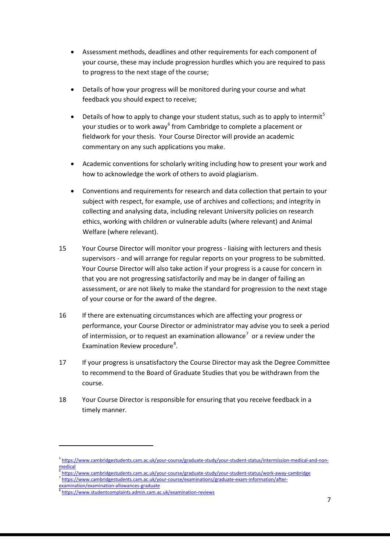- Assessment methods, deadlines and other requirements for each component of your course, these may include progression hurdles which you are required to pass to progress to the next stage of the course;
- Details of how your progress will be monitored during your course and what feedback you should expect to receive;
- Details of how to apply to change your student status, such as to apply to intermit<sup>[5](#page-6-0)</sup> your studies or to work away<sup>[6](#page-6-1)</sup> from Cambridge to complete a placement or fieldwork for your thesis. Your Course Director will provide an academic commentary on any such applications you make.
- Academic conventions for scholarly writing including how to present your work and how to acknowledge the work of others to avoid plagiarism.
- Conventions and requirements for research and data collection that pertain to your subject with respect, for example, use of archives and collections; and integrity in collecting and analysing data, including relevant University policies on research ethics, working with children or vulnerable adults (where relevant) and Animal Welfare (where relevant).
- 15 Your Course Director will monitor your progress liaising with lecturers and thesis supervisors - and will arrange for regular reports on your progress to be submitted. Your Course Director will also take action if your progress is a cause for concern in that you are not progressing satisfactorily and may be in danger of failing an assessment, or are not likely to make the standard for progression to the next stage of your course or for the award of the degree.
- 16 If there are extenuating circumstances which are affecting your progress or performance, your Course Director or administrator may advise you to seek a period of intermission, or to request an examination allowance<sup>[7](#page-6-2)</sup> or a review under the Examination Review procedure<sup>[8](#page-6-3)</sup>.
- 17 If your progress is unsatisfactory the Course Director may ask the Degree Committee to recommend to the Board of Graduate Studies that you be withdrawn from the course.
- 18 Your Course Director is responsible for ensuring that you receive feedback in a timely manner.

<span id="page-6-0"></span><sup>5</sup> [https://www.cambridgestudents.cam.ac.uk/your-course/graduate-study/your-student-status/intermission-medical-and-non](https://www.cambridgestudents.cam.ac.uk/your-course/graduate-study/your-student-status/intermission-medical-and-non-medical)[medical](https://www.cambridgestudents.cam.ac.uk/your-course/graduate-study/your-student-status/intermission-medical-and-non-medical)

<span id="page-6-2"></span><span id="page-6-1"></span><sup>6</sup> <https://www.cambridgestudents.cam.ac.uk/your-course/graduate-study/your-student-status/work-away-cambridge>

<sup>7</sup> [https://www.cambridgestudents.cam.ac.uk/your-course/examinations/graduate-exam-information/after-](https://www.cambridgestudents.cam.ac.uk/your-course/examinations/graduate-exam-information/after-examination/examination-allowances-graduate)

<span id="page-6-3"></span>[examination/examination-allowances-graduate](https://www.cambridgestudents.cam.ac.uk/your-course/examinations/graduate-exam-information/after-examination/examination-allowances-graduate)<br><sup>8</sup> <https://www.studentcomplaints.admin.cam.ac.uk/examination-reviews>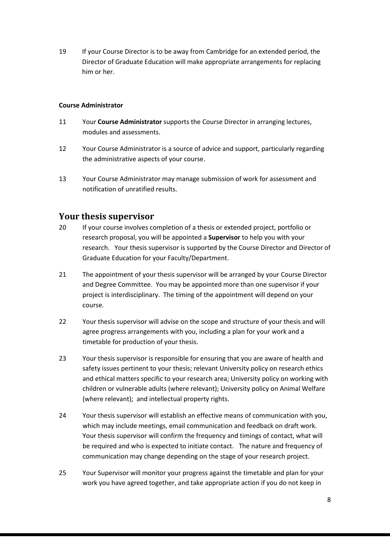19 If your Course Director is to be away from Cambridge for an extended period, the Director of Graduate Education will make appropriate arrangements for replacing him or her.

#### **Course Administrator**

- 11 Your **Course Administrator** supports the Course Director in arranging lectures, modules and assessments.
- 12 Your Course Administrator is a source of advice and support, particularly regarding the administrative aspects of your course.
- 13 Your Course Administrator may manage submission of work for assessment and notification of unratified results.

## <span id="page-7-0"></span>**Your thesis supervisor**

- 20 If your course involves completion of a thesis or extended project, portfolio or research proposal, you will be appointed a **Supervisor** to help you with your research. Your thesis supervisor is supported by the Course Director and Director of Graduate Education for your Faculty/Department.
- 21 The appointment of your thesis supervisor will be arranged by your Course Director and Degree Committee. You may be appointed more than one supervisor if your project is interdisciplinary. The timing of the appointment will depend on your course.
- 22 Your thesis supervisor will advise on the scope and structure of your thesis and will agree progress arrangements with you, including a plan for your work and a timetable for production of your thesis.
- 23 Your thesis supervisor is responsible for ensuring that you are aware of health and safety issues pertinent to your thesis; relevant University policy on research ethics and ethical matters specific to your research area; University policy on working with children or vulnerable adults (where relevant); University policy on Animal Welfare (where relevant); and intellectual property rights.
- 24 Your thesis supervisor will establish an effective means of communication with you, which may include meetings, email communication and feedback on draft work. Your thesis supervisor will confirm the frequency and timings of contact, what will be required and who is expected to initiate contact. The nature and frequency of communication may change depending on the stage of your research project.
- 25 Your Supervisor will monitor your progress against the timetable and plan for your work you have agreed together, and take appropriate action if you do not keep in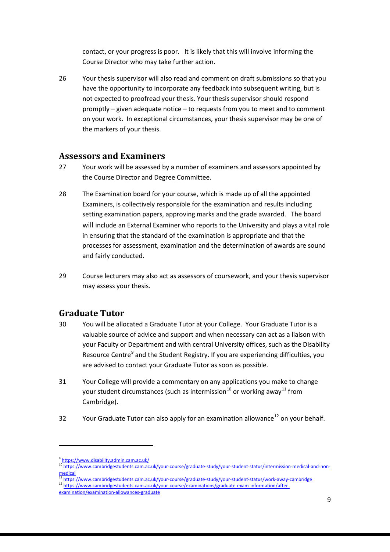contact, or your progress is poor. It is likely that this will involve informing the Course Director who may take further action.

26 Your thesis supervisor will also read and comment on draft submissions so that you have the opportunity to incorporate any feedback into subsequent writing, but is not expected to proofread your thesis. Your thesis supervisor should respond promptly – given adequate notice – to requests from you to meet and to comment on your work. In exceptional circumstances, your thesis supervisor may be one of the markers of your thesis.

## <span id="page-8-0"></span>**Assessors and Examiners**

- 27 Your work will be assessed by a number of examiners and assessors appointed by the Course Director and Degree Committee.
- 28 The Examination board for your course, which is made up of all the appointed Examiners, is collectively responsible for the examination and results including setting examination papers, approving marks and the grade awarded. The board will include an External Examiner who reports to the University and plays a vital role in ensuring that the standard of the examination is appropriate and that the processes for assessment, examination and the determination of awards are sound and fairly conducted.
- 29 Course lecturers may also act as assessors of coursework, and your thesis supervisor may assess your thesis.

## <span id="page-8-1"></span>**Graduate Tutor**

- 30 You will be allocated a Graduate Tutor at your College. Your Graduate Tutor is a valuable source of advice and support and when necessary can act as a liaison with your Faculty or Department and with central University offices, such as the Disability Resource Centre<sup>[9](#page-8-2)</sup> and the Student Registry. If you are experiencing difficulties, you are advised to contact your Graduate Tutor as soon as possible.
- 31 Your College will provide a commentary on any applications you make to change your student circumstances (such as intermission<sup>[10](#page-8-3)</sup> or working away<sup>[11](#page-8-4)</sup> from Cambridge).
- 32 Your Graduate Tutor can also apply for an examination allowance<sup>[12](#page-8-5)</sup> on your behalf.

<span id="page-8-2"></span><sup>9</sup> <https://www.disability.admin.cam.ac.uk/>

<span id="page-8-3"></span><sup>10&</sup>lt;br>[https://www.cambridgestudents.cam.ac.uk/your-course/graduate-study/your-student-status/intermission-medical-and-non](https://www.cambridgestudents.cam.ac.uk/your-course/graduate-study/your-student-status/intermission-medical-and-non-medical)[medical](https://www.cambridgestudents.cam.ac.uk/your-course/graduate-study/your-student-status/intermission-medical-and-non-medical)

<span id="page-8-4"></span> $\frac{11}{11}$  <https://www.cambridgestudents.cam.ac.uk/your-course/graduate-study/your-student-status/work-away-cambridge><br>12 [https://www.cambridgestudents.cam.ac.uk/your-course/examinations/graduate-exam-information/after-](https://www.cambridgestudents.cam.ac.uk/your-course/examinations/graduate-exam-information/after-examination/examination-allowances-graduate)

<span id="page-8-5"></span>

[examination/examination-allowances-graduate](https://www.cambridgestudents.cam.ac.uk/your-course/examinations/graduate-exam-information/after-examination/examination-allowances-graduate)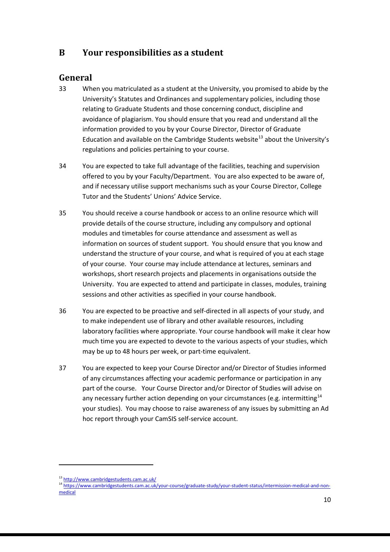# <span id="page-9-0"></span>**B Your responsibilities as a student**

# <span id="page-9-1"></span>**General**

- 33 When you matriculated as a student at the University, you promised to abide by the University's Statutes and Ordinances and supplementary policies, including those relating to Graduate Students and those concerning conduct, discipline and avoidance of plagiarism. You should ensure that you read and understand all the information provided to you by your Course Director, Director of Graduate Education and available on the Cambridge Students website<sup>[13](#page-9-2)</sup> about the University's regulations and policies pertaining to your course.
- 34 You are expected to take full advantage of the facilities, teaching and supervision offered to you by your Faculty/Department. You are also expected to be aware of, and if necessary utilise support mechanisms such as your Course Director, College Tutor and the Students' Unions' Advice Service.
- 35 You should receive a course handbook or access to an online resource which will provide details of the course structure, including any compulsory and optional modules and timetables for course attendance and assessment as well as information on sources of student support. You should ensure that you know and understand the structure of your course, and what is required of you at each stage of your course. Your course may include attendance at lectures, seminars and workshops, short research projects and placements in organisations outside the University. You are expected to attend and participate in classes, modules, training sessions and other activities as specified in your course handbook.
- 36 You are expected to be proactive and self-directed in all aspects of your study, and to make independent use of library and other available resources, including laboratory facilities where appropriate. Your course handbook will make it clear how much time you are expected to devote to the various aspects of your studies, which may be up to 48 hours per week, or part-time equivalent.
- 37 You are expected to keep your Course Director and/or Director of Studies informed of any circumstances affecting your academic performance or participation in any part of the course. Your Course Director and/or Director of Studies will advise on any necessary further action depending on your circumstances (e.g. intermitting<sup>[14](#page-9-3)</sup> your studies). You may choose to raise awareness of any issues by submitting an Ad hoc report through your CamSIS self-service account.

<span id="page-9-3"></span><span id="page-9-2"></span>

<sup>&</sup>lt;sup>13</sup> <http://www.cambridgestudents.cam.ac.uk/><br><sup>14</sup> https://www.<u>cambridgestudents.cam.ac.uk/your-course/graduate-study/your-student-status/intermission-medical-and-non-</u> [medical](https://www.cambridgestudents.cam.ac.uk/your-course/graduate-study/your-student-status/intermission-medical-and-non-medical)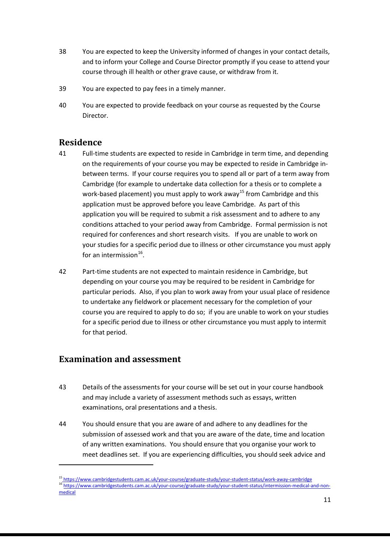- 38 You are expected to keep the University informed of changes in your contact details, and to inform your College and Course Director promptly if you cease to attend your course through ill health or other grave cause, or withdraw from it.
- 39 You are expected to pay fees in a timely manner.
- 40 You are expected to provide feedback on your course as requested by the Course Director.

## <span id="page-10-0"></span>**Residence**

- 41 Full-time students are expected to reside in Cambridge in term time, and depending on the requirements of your course you may be expected to reside in Cambridge inbetween terms. If your course requires you to spend all or part of a term away from Cambridge (for example to undertake data collection for a thesis or to complete a work-based placement) you must apply to work away<sup>[15](#page-10-2)</sup> from Cambridge and this application must be approved before you leave Cambridge. As part of this application you will be required to submit a risk assessment and to adhere to any conditions attached to your period away from Cambridge. Formal permission is not required for conferences and short research visits. If you are unable to work on your studies for a specific period due to illness or other circumstance you must apply for an intermission $^{16}$ .
- 42 Part-time students are not expected to maintain residence in Cambridge, but depending on your course you may be required to be resident in Cambridge for particular periods. Also, if you plan to work away from your usual place of residence to undertake any fieldwork or placement necessary for the completion of your course you are required to apply to do so; if you are unable to work on your studies for a specific period due to illness or other circumstance you must apply to intermit for that period.

## <span id="page-10-1"></span>**Examination and assessment**

- 43 Details of the assessments for your course will be set out in your course handbook and may include a variety of assessment methods such as essays, written examinations, oral presentations and a thesis.
- 44 You should ensure that you are aware of and adhere to any deadlines for the submission of assessed work and that you are aware of the date, time and location of any written examinations. You should ensure that you organise your work to meet deadlines set. If you are experiencing difficulties, you should seek advice and

<span id="page-10-3"></span><span id="page-10-2"></span><sup>&</sup>lt;sup>15</sup><https://www.cambridgestudents.cam.ac.uk/your-course/graduate-study/your-student-status/work-away-cambridge><br><sup>16</sup>https://www.cambridgestudents.cam.ac.uk/your-course/graduate-study/your-student-status/intermission-medical [medical](https://www.cambridgestudents.cam.ac.uk/your-course/graduate-study/your-student-status/intermission-medical-and-non-medical)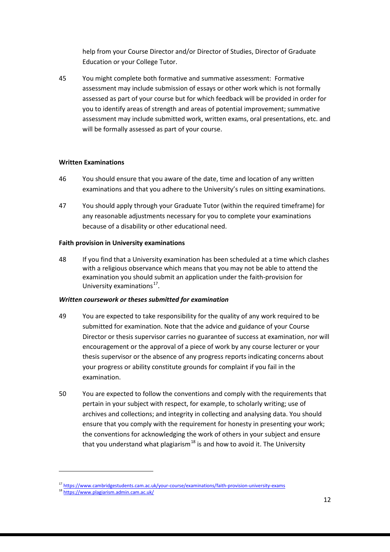help from your Course Director and/or Director of Studies, Director of Graduate Education or your College Tutor.

45 You might complete both formative and summative assessment: Formative assessment may include submission of essays or other work which is not formally assessed as part of your course but for which feedback will be provided in order for you to identify areas of strength and areas of potential improvement; summative assessment may include submitted work, written exams, oral presentations, etc. and will be formally assessed as part of your course.

### **Written Examinations**

- 46 You should ensure that you aware of the date, time and location of any written examinations and that you adhere to the University's rules on sitting examinations.
- 47 You should apply through your Graduate Tutor (within the required timeframe) for any reasonable adjustments necessary for you to complete your examinations because of a disability or other educational need.

### **Faith provision in University examinations**

48 If you find that a University examination has been scheduled at a time which clashes with a religious observance which means that you may not be able to attend the examination you should submit an application under the faith-provision for University examinations $^{17}$  $^{17}$  $^{17}$ .

### *Written coursework or theses submitted for examination*

- 49 You are expected to take responsibility for the quality of any work required to be submitted for examination. Note that the advice and guidance of your Course Director or thesis supervisor carries no guarantee of success at examination, nor will encouragement or the approval of a piece of work by any course lecturer or your thesis supervisor or the absence of any progress reports indicating concerns about your progress or ability constitute grounds for complaint if you fail in the examination.
- 50 You are expected to follow the conventions and comply with the requirements that pertain in your subject with respect, for example, to scholarly writing; use of archives and collections; and integrity in collecting and analysing data. You should ensure that you comply with the requirement for honesty in presenting your work; the conventions for acknowledging the work of others in your subject and ensure that you understand what plagiarism<sup>[18](#page-11-1)</sup> is and how to avoid it. The University

<span id="page-11-1"></span><span id="page-11-0"></span><sup>&</sup>lt;sup>17</sup> <https://www.cambridgestudents.cam.ac.uk/your-course/examinations/faith-provision-university-exams><br><sup>18</sup> <https://www.plagiarism.admin.cam.ac.uk/>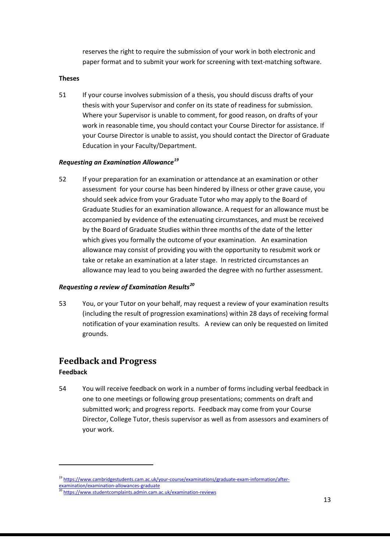reserves the right to require the submission of your work in both electronic and paper format and to submit your work for screening with text-matching software.

#### **Theses**

51 If your course involves submission of a thesis, you should discuss drafts of your thesis with your Supervisor and confer on its state of readiness for submission. Where your Supervisor is unable to comment, for good reason, on drafts of your work in reasonable time, you should contact your Course Director for assistance. If your Course Director is unable to assist, you should contact the Director of Graduate Education in your Faculty/Department.

### *Requesting an Examination Allowance[19](#page-12-1)*

52 If your preparation for an examination or attendance at an examination or other assessment for your course has been hindered by illness or other grave cause, you should seek advice from your Graduate Tutor who may apply to the Board of Graduate Studies for an examination allowance. A request for an allowance must be accompanied by evidence of the extenuating circumstances, and must be received by the Board of Graduate Studies within three months of the date of the letter which gives you formally the outcome of your examination. An examination allowance may consist of providing you with the opportunity to resubmit work or take or retake an examination at a later stage. In restricted circumstances an allowance may lead to you being awarded the degree with no further assessment.

### *Requesting a review of Examination Results[20](#page-12-2)*

53 You, or your Tutor on your behalf, may request a review of your examination results (including the result of progression examinations) within 28 days of receiving formal notification of your examination results. A review can only be requested on limited grounds.

## <span id="page-12-0"></span>**Feedback and Progress**

### **Feedback**

**.** 

54 You will receive feedback on work in a number of forms including verbal feedback in one to one meetings or following group presentations; comments on draft and submitted work; and progress reports. Feedback may come from your Course Director, College Tutor, thesis supervisor as well as from assessors and examiners of your work.

<span id="page-12-1"></span><sup>&</sup>lt;sup>19</sup> https://www.cambridgestudents.cam.ac.uk/your-course/examinations/graduate-exam-information/after-<br>examination/examination-allowances-graduate

<span id="page-12-2"></span><sup>20</sup> <https://www.studentcomplaints.admin.cam.ac.uk/examination-reviews>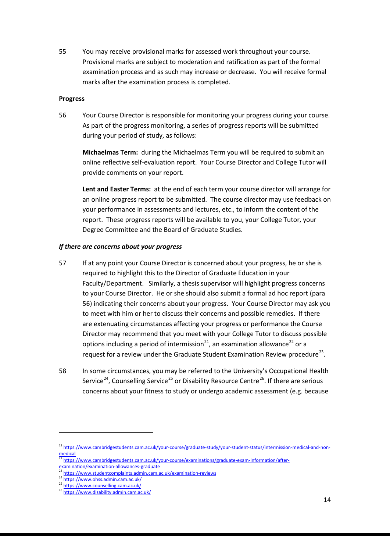55 You may receive provisional marks for assessed work throughout your course. Provisional marks are subject to moderation and ratification as part of the formal examination process and as such may increase or decrease. You will receive formal marks after the examination process is completed.

#### **Progress**

56 Your Course Director is responsible for monitoring your progress during your course. As part of the progress monitoring, a series of progress reports will be submitted during your period of study, as follows:

**Michaelmas Term:** during the Michaelmas Term you will be required to submit an online reflective self-evaluation report. Your Course Director and College Tutor will provide comments on your report.

**Lent and Easter Terms:** at the end of each term your course director will arrange for an online progress report to be submitted. The course director may use feedback on your performance in assessments and lectures, etc., to inform the content of the report. These progress reports will be available to you, your College Tutor, your Degree Committee and the Board of Graduate Studies.

#### *If there are concerns about your progress*

- 57 If at any point your Course Director is concerned about your progress, he or she is required to highlight this to the Director of Graduate Education in your Faculty/Department. Similarly, a thesis supervisor will highlight progress concerns to your Course Director. He or she should also submit a formal ad hoc report (para 56) indicating their concerns about your progress. Your Course Director may ask you to meet with him or her to discuss their concerns and possible remedies. If there are extenuating circumstances affecting your progress or performance the Course Director may recommend that you meet with your College Tutor to discuss possible options including a period of intermission<sup>21</sup>, an examination allowance<sup>22</sup> or a request for a review under the Graduate Student Examination Review procedure<sup>[23](#page-13-2)</sup>.
- 58 In some circumstances, you may be referred to the University's Occupational Health Service<sup>[24](#page-13-3)</sup>, Counselling Service<sup>[25](#page-13-4)</sup> or Disability Resource Centre<sup>[26](#page-13-5)</sup>. If there are serious concerns about your fitness to study or undergo academic assessment (e.g. because

<span id="page-13-0"></span><sup>&</sup>lt;sup>21</sup> [https://www.cambridgestudents.cam.ac.uk/your-course/graduate-study/your-student-status/intermission-medical-and-non](https://www.cambridgestudents.cam.ac.uk/your-course/graduate-study/your-student-status/intermission-medical-and-non-medical)[medical](https://www.cambridgestudents.cam.ac.uk/your-course/graduate-study/your-student-status/intermission-medical-and-non-medical)

<span id="page-13-1"></span><sup>22</sup> [https://www.cambridgestudents.cam.ac.uk/your-course/examinations/graduate-exam-information/after-](https://www.cambridgestudents.cam.ac.uk/your-course/examinations/graduate-exam-information/after-examination/examination-allowances-graduate)

<sup>&</sup>lt;u>xamination/examination-allowances-graduate</u><br><sup>3</sup> <https://www.studentcomplaints.admin.cam.ac.uk/examination-reviews>

<span id="page-13-4"></span><span id="page-13-3"></span><span id="page-13-2"></span><sup>24</sup> <https://www.ohss.admin.cam.ac.uk/><br>25 <https://www.counselling.cam.ac.uk/><br>26 <https://www.disability.admin.cam.ac.uk/>

<span id="page-13-5"></span>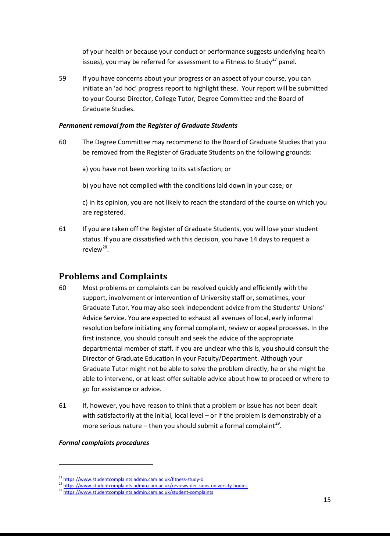of your health or because your conduct or performance suggests underlying health issues), you may be referred for assessment to a Fitness to Study<sup>[27](#page-14-1)</sup> panel.

59 If you have concerns about your progress or an aspect of your course, you can initiate an 'ad hoc' progress report to highlight these. Your report will be submitted to your Course Director, College Tutor, Degree Committee and the Board of Graduate Studies.

#### *Permanent removal from the Register of Graduate Students*

60 The Degree Committee may recommend to the Board of Graduate Studies that you be removed from the Register of Graduate Students on the following grounds:

a) you have not been working to its satisfaction; or

b) you have not complied with the conditions laid down in your case; or

c) in its opinion, you are not likely to reach the standard of the course on which you are registered.

61 If you are taken off the Register of Graduate Students, you will lose your student status. If you are dissatisfied with this decision, you have 14 days to request a review $^{28}$ .

# <span id="page-14-0"></span>**Problems and Complaints**

- 60 Most problems or complaints can be resolved quickly and efficiently with the support, involvement or intervention of University staff or, sometimes, your Graduate Tutor. You may also seek independent advice from the Students' Unions' Advice Service. You are expected to exhaust all avenues of local, early informal resolution before initiating any formal complaint, review or appeal processes. In the first instance, you should consult and seek the advice of the appropriate departmental member of staff. If you are unclear who this is, you should consult the Director of Graduate Education in your Faculty/Department. Although your Graduate Tutor might not be able to solve the problem directly, he or she might be able to intervene, or at least offer suitable advice about how to proceed or where to go for assistance or advice.
- 61 If, however, you have reason to think that a problem or issue has not been dealt with satisfactorily at the initial, local level – or if the problem is demonstrably of a more serious nature – then you should submit a formal complaint<sup>[29](#page-14-3)</sup>.

*Formal complaints procedures* 

<span id="page-14-1"></span><sup>&</sup>lt;sup>27</sup> <https://www.studentcomplaints.admin.cam.ac.uk/fitness-study-0><br><sup>28</sup> <https://www.studentcomplaints.admin.cam.ac.uk/reviews-decisions-university-bodies><br><sup>29</sup> https://www.studentcomplaints.admin.cam.ac.uk/student-complaint

<span id="page-14-3"></span><span id="page-14-2"></span>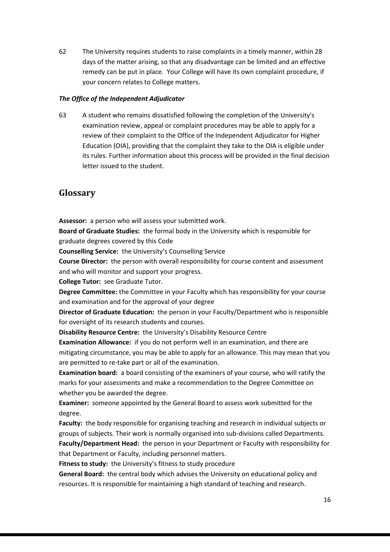62 The University requires students to raise complaints in a timely manner, within 28 days of the matter arising, so that any disadvantage can be limited and an effective remedy can be put in place. Your College will have its own complaint procedure, if your concern relates to College matters.

#### *The Office of the Independent Adjudicator*

63 A student who remains dissatisfied following the completion of the University's examination review, appeal or complaint procedures may be able to apply for a review of their complaint to the Office of the Independent Adjudicator for Higher Education (OIA), providing that the complaint they take to the OIA is eligible under its rules. Further information about this process will be provided in the final decision letter issued to the student.

### <span id="page-15-0"></span>**Glossary**

**Assessor:** a person who will assess your submitted work.

**Board of Graduate Studies:** the formal body in the University which is responsible for graduate degrees covered by this Code

**Counselling Service:** the University's Counselling Service

**Course Director:** the person with overall responsibility for course content and assessment and who will monitor and support your progress.

**College Tutor:** see Graduate Tutor.

**Degree Committee:** the Committee in your Faculty which has responsibility for your course and examination and for the approval of your degree

**Director of Graduate Education:** the person in your Faculty/Department who is responsible for oversight of its research students and courses.

**Disability Resource Centre:** the University's Disability Resource Centre **Examination Allowance:** if you do not perform well in an examination, and there are mitigating circumstance, you may be able to apply for an allowance. This may mean that you are permitted to re-take part or all of the examination.

**Examination board:** a board consisting of the examiners of your course, who will ratify the marks for your assessments and make a recommendation to the Degree Committee on whether you be awarded the degree.

**Examiner:** someone appointed by the General Board to assess work submitted for the degree.

**Faculty:** the body responsible for organising teaching and research in individual subjects or groups of subjects. Their work is normally organised into sub-divisions called Departments. **Faculty/Department Head:** the person in your Department or Faculty with responsibility for that Department or Faculty, including personnel matters.

**Fitness to study:** the University's fitness to study procedure

**General Board:** the central body which advises the University on educational policy and resources. It is responsible for maintaining a high standard of teaching and research.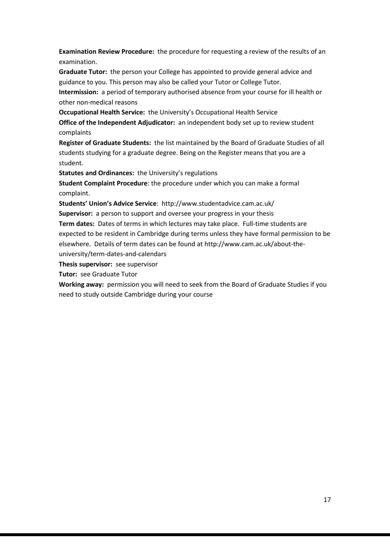**Examination Review Procedure:** the procedure for requesting a review of the results of an examination.

**Graduate Tutor:** the person your College has appointed to provide general advice and guidance to you. This person may also be called your Tutor or College Tutor.

**Intermission:** a period of temporary authorised absence from your course for ill health or other non-medical reasons

**Occupational Health Service:** the University's Occupational Health Service

**Office of the Independent Adjudicator:** an independent body set up to review student complaints

**Register of Graduate Students:** the list maintained by the Board of Graduate Studies of all students studying for a graduate degree. Being on the Register means that you are a student.

**Statutes and Ordinances:** the University's regulations

**Student Complaint Procedure**: the procedure under which you can make a formal complaint.

**Students' Union's Advice Service**: http://www.studentadvice.cam.ac.uk/

**Supervisor:** a person to support and oversee your progress in your thesis

**Term dates:** Dates of terms in which lectures may take place. Full-time students are expected to be resident in Cambridge during terms unless they have formal permission to be elsewhere. Details of term dates can be found at http://www.cam.ac.uk/about-theuniversity/term-dates-and-calendars

**Thesis supervisor:** see supervisor

**Tutor:** see Graduate Tutor

**Working away:** permission you will need to seek from the Board of Graduate Studies if you need to study outside Cambridge during your course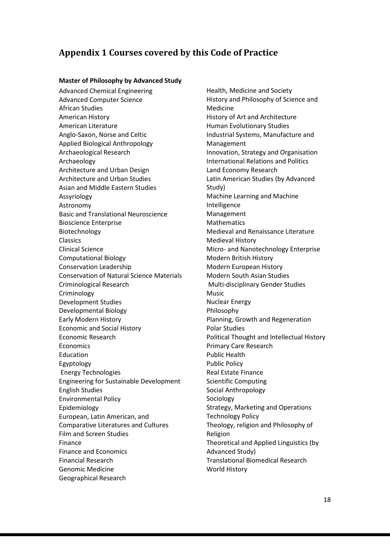# <span id="page-17-0"></span>**Appendix 1 Courses covered by this Code of Practice**

#### **Master of Philosophy by Advanced Study**

Advanced Chemical Engineering Advanced Computer Science African Studies American History American Literature Anglo-Saxon, Norse and Celtic Applied Biological Anthropology Archaeological Research Archaeology Architecture and Urban Design Architecture and Urban Studies Asian and Middle Eastern Studies Assyriology Astronomy Basic and Translational Neuroscience Bioscience Enterprise Biotechnology Classics Clinical Science Computational Biology Conservation Leadership Conservation of Natural Science Materials Criminological Research Criminology Development Studies Developmental Biology Early Modern History Economic and Social History Economic Research Economics Education Egyptology Energy Technologies Engineering for Sustainable Development English Studies Environmental Policy Epidemiology European, Latin American, and Comparative Literatures and Cultures Film and Screen Studies Finance Finance and Economics Financial Research Genomic Medicine Geographical Research

Health, Medicine and Society History and Philosophy of Science and Medicine History of Art and Architecture Human Evolutionary Studies Industrial Systems, Manufacture and Management Innovation, Strategy and Organisation International Relations and Politics Land Economy Research Latin American Studies (by Advanced Study) Machine Learning and Machine Intelligence Management Mathematics Medieval and Renaissance Literature Medieval History Micro- and Nanotechnology Enterprise Modern British History Modern European History Modern South Asian Studies Multi-disciplinary Gender Studies Music Nuclear Energy Philosophy Planning, Growth and Regeneration Polar Studies Political Thought and Intellectual History Primary Care Research Public Health Public Policy Real Estate Finance Scientific Computing Social Anthropology Sociology Strategy, Marketing and Operations Technology Policy Theology, religion and Philosophy of Religion Theoretical and Applied Linguistics (by Advanced Study) Translational Biomedical Research World History